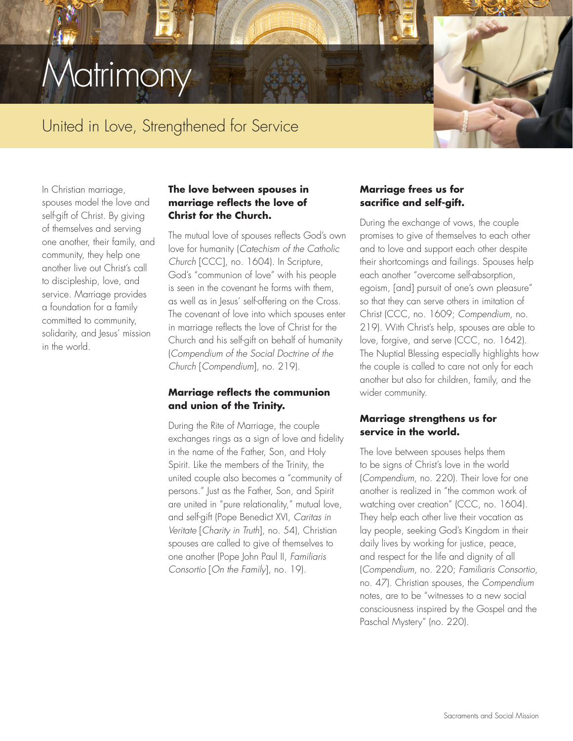# **Aatrimony**

## United in Love, Strengthened for Service

In Christian marriage, spouses model the love and self-gift of Christ. By giving of themselves and serving one another, their family, and community, they help one another live out Christ's call to discipleship, love, and service. Marriage provides a foundation for a family committed to community, solidarity, and Jesus' mission in the world.

#### **The love between spouses in marriage reflects the love of Christ for the Church.**

The mutual love of spouses reflects God's own love for humanity (*Catechism of the Catholic Church* [CCC], no. 1604). In Scripture, God's "communion of love" with his people is seen in the covenant he forms with them, as well as in Jesus' self-offering on the Cross. The covenant of love into which spouses enter in marriage reflects the love of Christ for the Church and his self-gift on behalf of humanity (*Compendium of the Social Doctrine of the Church* [*Compendium*], no. 219).

#### **Marriage reflects the communion and union of the Trinity.**

During the Rite of Marriage, the couple exchanges rings as a sign of love and fidelity in the name of the Father, Son, and Holy Spirit. Like the members of the Trinity, the united couple also becomes a "community of persons." Just as the Father, Son, and Spirit are united in "pure relationality," mutual love, and self-gift (Pope Benedict XVI, *Caritas in Veritate* [*Charity in Truth*], no. 54), Christian spouses are called to give of themselves to one another (Pope John Paul II, *Familiaris Consortio* [*On the Family*], no. 19).

#### **Marriage frees us for sacrifice and self-gift.**

During the exchange of vows, the couple promises to give of themselves to each other and to love and support each other despite their shortcomings and failings. Spouses help each another "overcome self-absorption, egoism, [and] pursuit of one's own pleasure" so that they can serve others in imitation of Christ (CCC, no. 1609; *Compendium*, no. 219). With Christ's help, spouses are able to love, forgive, and serve (CCC, no. 1642). The Nuptial Blessing especially highlights how the couple is called to care not only for each another but also for children, family, and the wider community.

#### **Marriage strengthens us for service in the world.**

The love between spouses helps them to be signs of Christ's love in the world (*Compendium*, no. 220). Their love for one another is realized in "the common work of watching over creation" (CCC, no. 1604). They help each other live their vocation as lay people, seeking God's Kingdom in their daily lives by working for justice, peace, and respect for the life and dignity of all (*Compendium*, no. 220; *Familiaris Consortio*, no. 47). Christian spouses, the *Compendium* notes, are to be "witnesses to a new social consciousness inspired by the Gospel and the Paschal Mystery" (no. 220).